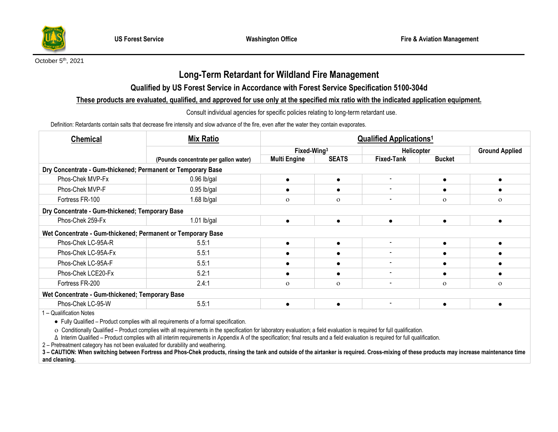

#### October 5<sup>th</sup>, 2021

# **Long-Term Retardant for Wildland Fire Management**

## **Qualified by US Forest Service in Accordance with Forest Service Specification 5100-304d**

#### **These products are evaluated, qualified, and approved for use only at the specified mix ratio with the indicated application equipment.**

Consult individual agencies for specific policies relating to long-term retardant use.

Definition: Retardants contain salts that decrease fire intensity and slow advance of the fire, even after the water they contain evaporates.

| <b>Chemical</b>                                              | <b>Mix Ratio</b><br>(Pounds concentrate per gallon water) | <b>Qualified Applications<sup>1</sup></b> |              |                              |               |                       |  |  |  |  |
|--------------------------------------------------------------|-----------------------------------------------------------|-------------------------------------------|--------------|------------------------------|---------------|-----------------------|--|--|--|--|
|                                                              |                                                           | Fixed-Wing <sup>3</sup>                   |              | <b>Helicopter</b>            |               | <b>Ground Applied</b> |  |  |  |  |
|                                                              |                                                           | <b>Multi Engine</b>                       | <b>SEATS</b> | <b>Fixed-Tank</b>            | <b>Bucket</b> |                       |  |  |  |  |
| Dry Concentrate - Gum-thickened; Permanent or Temporary Base |                                                           |                                           |              |                              |               |                       |  |  |  |  |
| Phos-Chek MVP-Fx                                             | $0.96$ lb/gal                                             |                                           | $\bullet$    | $\overline{\phantom{0}}$     |               |                       |  |  |  |  |
| Phos-Chek MVP-F                                              | $0.95$ lb/gal                                             |                                           |              |                              |               |                       |  |  |  |  |
| Fortress FR-100                                              | 1.68 $lb/gal$                                             | $\Omega$                                  | $\Omega$     | $\qquad \qquad \blacksquare$ | $\Omega$      | $\mathbf{O}$          |  |  |  |  |
| Dry Concentrate - Gum-thickened; Temporary Base              |                                                           |                                           |              |                              |               |                       |  |  |  |  |
| Phos-Chek 259-Fx                                             | $1.01$ lb/gal                                             |                                           | $\bullet$    | $\bullet$                    | ٠             |                       |  |  |  |  |
| Wet Concentrate - Gum-thickened; Permanent or Temporary Base |                                                           |                                           |              |                              |               |                       |  |  |  |  |
| Phos-Chek LC-95A-R                                           | 5.5:1                                                     |                                           | $\bullet$    | $\blacksquare$               |               |                       |  |  |  |  |
| Phos-Chek LC-95A-Fx                                          | 5.5:1                                                     |                                           |              |                              |               |                       |  |  |  |  |
| Phos-Chek LC-95A-F                                           | 5.5:1                                                     |                                           |              |                              |               |                       |  |  |  |  |
| Phos-Chek LCE20-Fx                                           | 5.2:1                                                     |                                           | ٠            | $\qquad \qquad \blacksquare$ |               |                       |  |  |  |  |
| Fortress FR-200                                              | 2.4:1                                                     | $\Omega$                                  | $\Omega$     | $\overline{\phantom{0}}$     | $\Omega$      | $\mathbf{O}$          |  |  |  |  |
| Wet Concentrate - Gum-thickened; Temporary Base              |                                                           |                                           |              |                              |               |                       |  |  |  |  |
| Phos-Chek LC-95-W                                            | 5.5:1                                                     |                                           | $\bullet$    | $\overline{\phantom{a}}$     | $\bullet$     |                       |  |  |  |  |
| 1 - Qualification Notes                                      |                                                           |                                           |              |                              |               |                       |  |  |  |  |

•Fully Qualified – Product complies with all requirements of a formal specification.

Conditionally Qualified – Product complies with all requirements in the specification for laboratory evaluation; a field evaluation is required for full qualification.

Δ Interim Qualified – Product complies with all interim requirements in Appendix A of the specification; final results and a field evaluation is required for full qualification.

2 – Pretreatment category has not been evaluated for durability and weathering.

3 - CAUTION: When switching between Fortress and Phos-Chek products, rinsing the tank and outside of the airtanker is required. Cross-mixing of these products may increase maintenance time **and cleaning.**